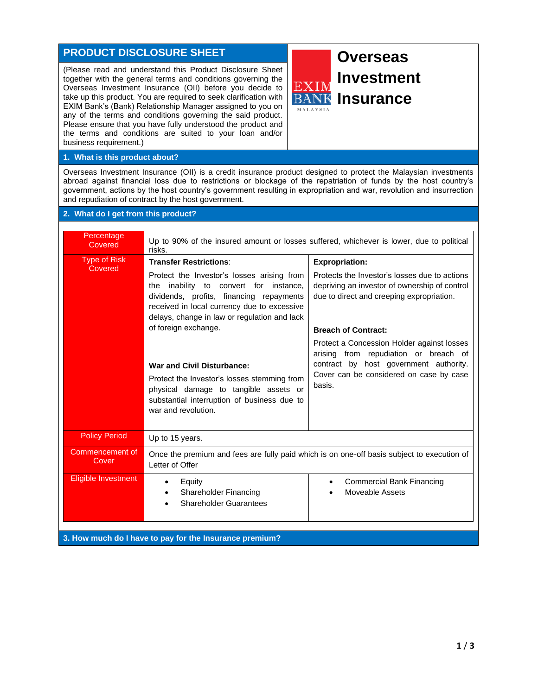## **PRODUCT DISCLOSURE SHEET**

(Please read and understand this Product Disclosure Sheet together with the general terms and conditions governing the Overseas Investment Insurance (OII) before you decide to take up this product. You are required to seek clarification with EXIM Bank's (Bank) Relationship Manager assigned to you on any of the terms and conditions governing the said product. Please ensure that you have fully understood the product and the terms and conditions are suited to your loan and/or business requirement.)



**1. What is this product about?**

Overseas Investment Insurance (OII) is a credit insurance product designed to protect the Malaysian investments abroad against financial loss due to restrictions or blockage of the repatriation of funds by the host country's government, actions by the host country's government resulting in expropriation and war, revolution and insurrection and repudiation of contract by the host government.

 $\mathbf{F}$ 

## **2. What do I get from this product?**

| Percentage<br>Covered          | Up to 90% of the insured amount or losses suffered, whichever is lower, due to political<br>risks.                                                                                                                                                                                                                                                                                                                                                                                             |                                                                                                                                                                                                                                                                                                                                                                                          |  |
|--------------------------------|------------------------------------------------------------------------------------------------------------------------------------------------------------------------------------------------------------------------------------------------------------------------------------------------------------------------------------------------------------------------------------------------------------------------------------------------------------------------------------------------|------------------------------------------------------------------------------------------------------------------------------------------------------------------------------------------------------------------------------------------------------------------------------------------------------------------------------------------------------------------------------------------|--|
| <b>Type of Risk</b><br>Covered | <b>Transfer Restrictions:</b><br>Protect the Investor's losses arising from<br>inability to convert for instance,<br>the<br>dividends, profits, financing repayments<br>received in local currency due to excessive<br>delays, change in law or regulation and lack<br>of foreign exchange.<br><b>War and Civil Disturbance:</b><br>Protect the Investor's losses stemming from<br>physical damage to tangible assets or<br>substantial interruption of business due to<br>war and revolution. | <b>Expropriation:</b><br>Protects the Investor's losses due to actions<br>depriving an investor of ownership of control<br>due to direct and creeping expropriation.<br><b>Breach of Contract:</b><br>Protect a Concession Holder against losses<br>arising from repudiation or breach of<br>contract by host government authority.<br>Cover can be considered on case by case<br>hasis. |  |
| <b>Policy Period</b>           | Up to 15 years.                                                                                                                                                                                                                                                                                                                                                                                                                                                                                |                                                                                                                                                                                                                                                                                                                                                                                          |  |
| Commencement of<br>Cover       | Once the premium and fees are fully paid which is on one-off basis subject to execution of<br>Letter of Offer                                                                                                                                                                                                                                                                                                                                                                                  |                                                                                                                                                                                                                                                                                                                                                                                          |  |
| Eligible Investment            | Equity<br>$\bullet$<br>Shareholder Financing<br>$\bullet$<br><b>Shareholder Guarantees</b>                                                                                                                                                                                                                                                                                                                                                                                                     | <b>Commercial Bank Financing</b><br>$\bullet$<br>Moveable Assets                                                                                                                                                                                                                                                                                                                         |  |

**3. How much do I have to pay for the Insurance premium?**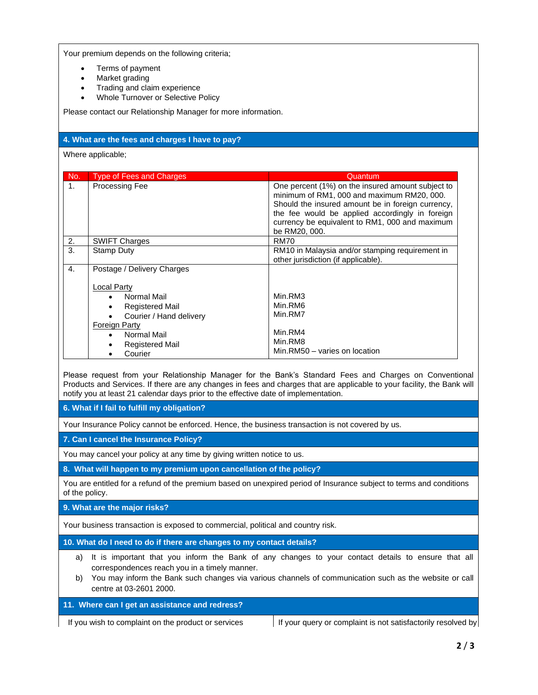Your premium depends on the following criteria;

- Terms of payment
- Market grading
- Trading and claim experience
- Whole Turnover or Selective Policy

Please contact our Relationship Manager for more information.

| 4. What are the fees and charges I have to pay?                                                                                                                                                                                                                                                                          |                                                                              |                                                                                                                                                                                                                                                                                       |  |  |
|--------------------------------------------------------------------------------------------------------------------------------------------------------------------------------------------------------------------------------------------------------------------------------------------------------------------------|------------------------------------------------------------------------------|---------------------------------------------------------------------------------------------------------------------------------------------------------------------------------------------------------------------------------------------------------------------------------------|--|--|
| Where applicable;                                                                                                                                                                                                                                                                                                        |                                                                              |                                                                                                                                                                                                                                                                                       |  |  |
|                                                                                                                                                                                                                                                                                                                          |                                                                              |                                                                                                                                                                                                                                                                                       |  |  |
| No.<br>1 <sup>1</sup>                                                                                                                                                                                                                                                                                                    | <b>Type of Fees and Charges</b><br>Processing Fee                            | Quantum<br>One percent (1%) on the insured amount subject to<br>minimum of RM1, 000 and maximum RM20, 000.<br>Should the insured amount be in foreign currency,<br>the fee would be applied accordingly in foreign<br>currency be equivalent to RM1, 000 and maximum<br>be RM20, 000. |  |  |
| 2.                                                                                                                                                                                                                                                                                                                       | <b>SWIFT Charges</b>                                                         | <b>RM70</b>                                                                                                                                                                                                                                                                           |  |  |
| $\overline{3}$ .                                                                                                                                                                                                                                                                                                         | <b>Stamp Duty</b>                                                            | RM10 in Malaysia and/or stamping requirement in<br>other jurisdiction (if applicable).                                                                                                                                                                                                |  |  |
| $\overline{4}$ .                                                                                                                                                                                                                                                                                                         | Postage / Delivery Charges<br><b>Local Party</b><br>Normal Mail<br>$\bullet$ | Min.RM3                                                                                                                                                                                                                                                                               |  |  |
|                                                                                                                                                                                                                                                                                                                          | <b>Registered Mail</b><br>$\bullet$<br>Courier / Hand delivery<br>$\bullet$  | Min.RM6<br>Min.RM7                                                                                                                                                                                                                                                                    |  |  |
|                                                                                                                                                                                                                                                                                                                          | Foreign Party                                                                |                                                                                                                                                                                                                                                                                       |  |  |
|                                                                                                                                                                                                                                                                                                                          | Normal Mail<br>$\bullet$                                                     | Min.RM4                                                                                                                                                                                                                                                                               |  |  |
|                                                                                                                                                                                                                                                                                                                          | <b>Registered Mail</b><br>$\bullet$<br>Courier<br>$\bullet$                  | Min.RM8<br>Min.RM50 - varies on location                                                                                                                                                                                                                                              |  |  |
| Please request from your Relationship Manager for the Bank's Standard Fees and Charges on Conventional<br>Products and Services. If there are any changes in fees and charges that are applicable to your facility, the Bank will<br>notify you at least 21 calendar days prior to the effective date of implementation. |                                                                              |                                                                                                                                                                                                                                                                                       |  |  |
| 6. What if I fail to fulfill my obligation?                                                                                                                                                                                                                                                                              |                                                                              |                                                                                                                                                                                                                                                                                       |  |  |
| Your Insurance Policy cannot be enforced. Hence, the business transaction is not covered by us.                                                                                                                                                                                                                          |                                                                              |                                                                                                                                                                                                                                                                                       |  |  |
| 7. Can I cancel the Insurance Policy?                                                                                                                                                                                                                                                                                    |                                                                              |                                                                                                                                                                                                                                                                                       |  |  |
| You may cancel your policy at any time by giving written notice to us.                                                                                                                                                                                                                                                   |                                                                              |                                                                                                                                                                                                                                                                                       |  |  |
| 8. What will happen to my premium upon cancellation of the policy?                                                                                                                                                                                                                                                       |                                                                              |                                                                                                                                                                                                                                                                                       |  |  |
| You are entitled for a refund of the premium based on unexpired period of Insurance subject to terms and conditions<br>of the policy.                                                                                                                                                                                    |                                                                              |                                                                                                                                                                                                                                                                                       |  |  |
| 9. What are the major risks?                                                                                                                                                                                                                                                                                             |                                                                              |                                                                                                                                                                                                                                                                                       |  |  |
|                                                                                                                                                                                                                                                                                                                          |                                                                              |                                                                                                                                                                                                                                                                                       |  |  |

Your business transaction is exposed to commercial, political and country risk.

**10. What do I need to do if there are changes to my contact details?**

- a) It is important that you inform the Bank of any changes to your contact details to ensure that all correspondences reach you in a timely manner.
- b) You may inform the Bank such changes via various channels of communication such as the website or call centre at 03-2601 2000.

**11. Where can I get an assistance and redress?**

If you wish to complaint on the product or services  $\vert$  If your query or complaint is not satisfactorily resolved by